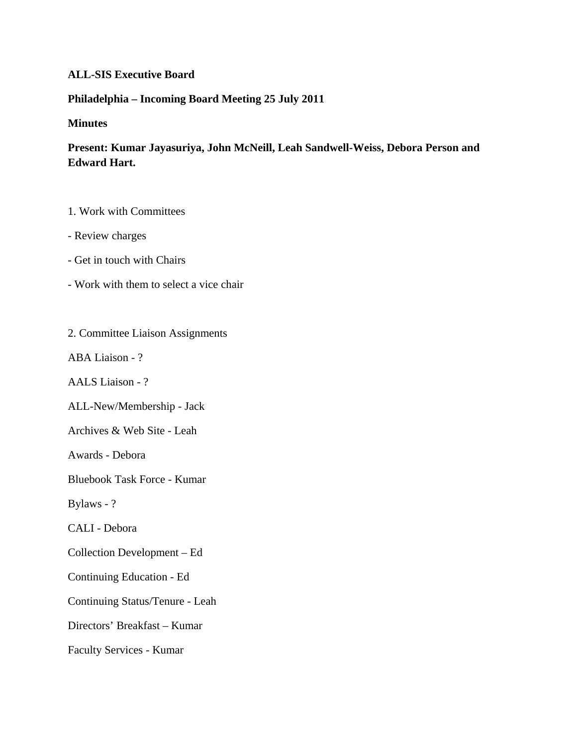## **ALL-SIS Executive Board**

## **Philadelphia – Incoming Board Meeting 25 July 2011**

## **Minutes**

## **Present: Kumar Jayasuriya, John McNeill, Leah Sandwell-Weiss, Debora Person and Edward Hart.**

1. Work with Committees

- Review charges
- Get in touch with Chairs
- Work with them to select a vice chair
- 2. Committee Liaison Assignments
- ABA Liaison ?
- AALS Liaison ?
- ALL-New/Membership Jack
- Archives & Web Site Leah
- Awards Debora
- Bluebook Task Force Kumar
- Bylaws ?
- CALI Debora
- Collection Development Ed
- Continuing Education Ed
- Continuing Status/Tenure Leah
- Directors' Breakfast Kumar
- Faculty Services Kumar